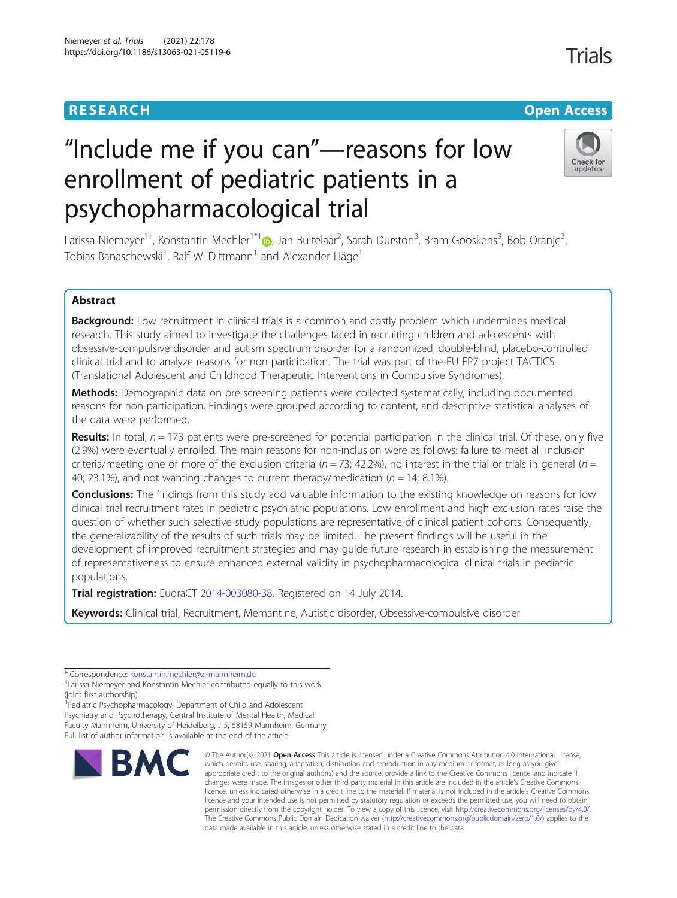# **RESEARCH CHEAR CHEAR CHEAR CHEAR CHEAR CHEAR CHEAR CHEAR CHEAR CHEAR CHEAR CHEAR CHEAR CHEAR CHEAR CHEAR CHEAR**

# "Include me if you can"—reasons for low enrollment of pediatric patients in a psychopharmacological trial



Larissa Niemeyer<sup>1[†](http://orcid.org/0000-0002-5322-7140)</sup>, Konstantin Mechler<sup>1\*†</sup>®, Jan Buitelaar<sup>2</sup>, Sarah Durston<sup>3</sup>, Bram Gooskens<sup>3</sup>, Bob Oranje<sup>3</sup> , Tobias Banaschewski<sup>1</sup>, Ralf W. Dittmann<sup>1</sup> and Alexander Häge<sup>1</sup>

# Abstract

Background: Low recruitment in clinical trials is a common and costly problem which undermines medical research. This study aimed to investigate the challenges faced in recruiting children and adolescents with obsessive-compulsive disorder and autism spectrum disorder for a randomized, double-blind, placebo-controlled clinical trial and to analyze reasons for non-participation. The trial was part of the EU FP7 project TACTICS (Translational Adolescent and Childhood Therapeutic Interventions in Compulsive Syndromes).

Methods: Demographic data on pre-screening patients were collected systematically, including documented reasons for non-participation. Findings were grouped according to content, and descriptive statistical analyses of the data were performed.

**Results:** In total,  $n = 173$  patients were pre-screened for potential participation in the clinical trial. Of these, only five (2.9%) were eventually enrolled. The main reasons for non-inclusion were as follows: failure to meet all inclusion criteria/meeting one or more of the exclusion criteria ( $n = 73$ ; 42.2%), no interest in the trial or trials in general ( $n =$ 40; 23.1%), and not wanting changes to current therapy/medication ( $n = 14$ ; 8.1%).

**Conclusions:** The findings from this study add valuable information to the existing knowledge on reasons for low clinical trial recruitment rates in pediatric psychiatric populations. Low enrollment and high exclusion rates raise the question of whether such selective study populations are representative of clinical patient cohorts. Consequently, the generalizability of the results of such trials may be limited. The present findings will be useful in the development of improved recruitment strategies and may guide future research in establishing the measurement of representativeness to ensure enhanced external validity in psychopharmacological clinical trials in pediatric populations.

Trial registration: EudraCT [2014-003080-38.](https://www.clinicaltrialsregister.eu/ctr-search/search?query=2014-003080-38) Registered on 14 July 2014.

Keywords: Clinical trial, Recruitment, Memantine, Autistic disorder, Obsessive-compulsive disorder

<sup>1</sup> Pediatric Psychopharmacology, Department of Child and Adolescent Psychiatry and Psychotherapy, Central Institute of Mental Health, Medical Faculty Mannheim, University of Heidelberg, J 5, 68159 Mannheim, Germany Full list of author information is available at the end of the article



<sup>©</sup> The Author(s), 2021 **Open Access** This article is licensed under a Creative Commons Attribution 4.0 International License, which permits use, sharing, adaptation, distribution and reproduction in any medium or format, as long as you give appropriate credit to the original author(s) and the source, provide a link to the Creative Commons licence, and indicate if changes were made. The images or other third party material in this article are included in the article's Creative Commons licence, unless indicated otherwise in a credit line to the material. If material is not included in the article's Creative Commons licence and your intended use is not permitted by statutory regulation or exceeds the permitted use, you will need to obtain permission directly from the copyright holder. To view a copy of this licence, visit [http://creativecommons.org/licenses/by/4.0/.](http://creativecommons.org/licenses/by/4.0/) The Creative Commons Public Domain Dedication waiver [\(http://creativecommons.org/publicdomain/zero/1.0/](http://creativecommons.org/publicdomain/zero/1.0/)) applies to the data made available in this article, unless otherwise stated in a credit line to the data.

<sup>\*</sup> Correspondence: [konstantin.mechler@zi-mannheim.de](mailto:konstantin.mechler@zi-mannheim.de) †

Larissa Niemeyer and Konstantin Mechler contributed equally to this work (joint first authorship)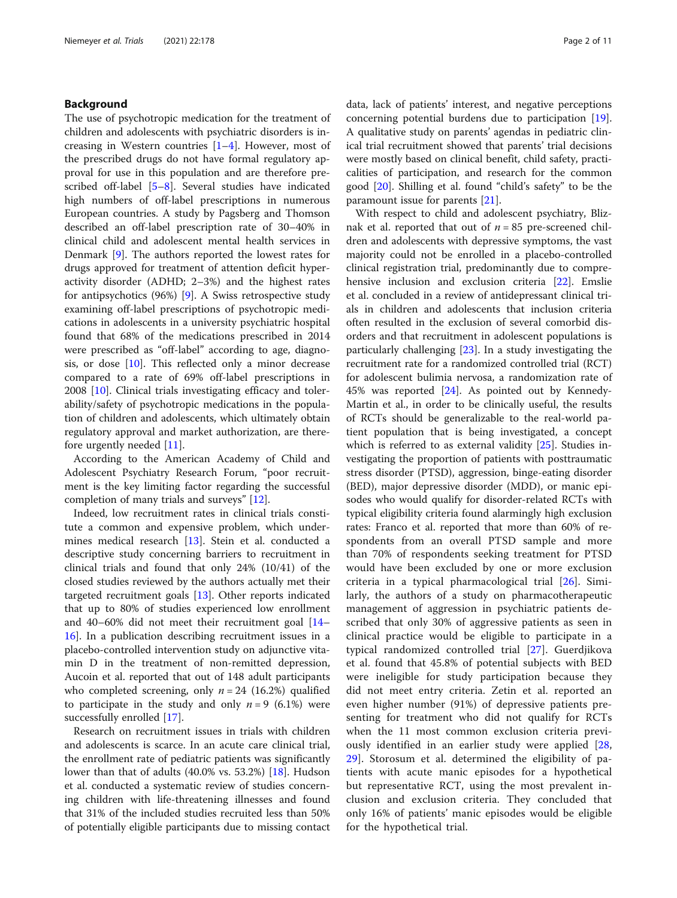# Background

The use of psychotropic medication for the treatment of children and adolescents with psychiatric disorders is increasing in Western countries  $[1-4]$  $[1-4]$  $[1-4]$  $[1-4]$ . However, most of the prescribed drugs do not have formal regulatory approval for use in this population and are therefore prescribed off-label [[5](#page-9-0)–[8](#page-9-0)]. Several studies have indicated high numbers of off-label prescriptions in numerous European countries. A study by Pagsberg and Thomson described an off-label prescription rate of 30–40% in clinical child and adolescent mental health services in Denmark [[9\]](#page-9-0). The authors reported the lowest rates for drugs approved for treatment of attention deficit hyperactivity disorder (ADHD; 2–3%) and the highest rates for antipsychotics (96%) [[9\]](#page-9-0). A Swiss retrospective study examining off-label prescriptions of psychotropic medications in adolescents in a university psychiatric hospital found that 68% of the medications prescribed in 2014 were prescribed as "off-label" according to age, diagnosis, or dose  $[10]$ . This reflected only a minor decrease compared to a rate of 69% off-label prescriptions in 2008 [\[10\]](#page-9-0). Clinical trials investigating efficacy and tolerability/safety of psychotropic medications in the population of children and adolescents, which ultimately obtain regulatory approval and market authorization, are therefore urgently needed [\[11](#page-9-0)].

According to the American Academy of Child and Adolescent Psychiatry Research Forum, "poor recruitment is the key limiting factor regarding the successful completion of many trials and surveys" [[12](#page-9-0)].

Indeed, low recruitment rates in clinical trials constitute a common and expensive problem, which under-mines medical research [\[13](#page-9-0)]. Stein et al. conducted a descriptive study concerning barriers to recruitment in clinical trials and found that only 24% (10/41) of the closed studies reviewed by the authors actually met their targeted recruitment goals [\[13](#page-9-0)]. Other reports indicated that up to 80% of studies experienced low enrollment and 40–60% did not meet their recruitment goal [[14](#page-9-0)– [16\]](#page-9-0). In a publication describing recruitment issues in a placebo-controlled intervention study on adjunctive vitamin D in the treatment of non-remitted depression, Aucoin et al. reported that out of 148 adult participants who completed screening, only  $n = 24$  (16.2%) qualified to participate in the study and only  $n = 9$  (6.1%) were successfully enrolled [[17](#page-9-0)].

Research on recruitment issues in trials with children and adolescents is scarce. In an acute care clinical trial, the enrollment rate of pediatric patients was significantly lower than that of adults (40.0% vs. 53.2%) [[18\]](#page-9-0). Hudson et al. conducted a systematic review of studies concerning children with life-threatening illnesses and found that 31% of the included studies recruited less than 50% of potentially eligible participants due to missing contact data, lack of patients' interest, and negative perceptions concerning potential burdens due to participation [\[19](#page-9-0)]. A qualitative study on parents' agendas in pediatric clinical trial recruitment showed that parents' trial decisions were mostly based on clinical benefit, child safety, practicalities of participation, and research for the common good [[20\]](#page-9-0). Shilling et al. found "child's safety" to be the paramount issue for parents [\[21\]](#page-9-0).

With respect to child and adolescent psychiatry, Bliznak et al. reported that out of  $n = 85$  pre-screened children and adolescents with depressive symptoms, the vast majority could not be enrolled in a placebo-controlled clinical registration trial, predominantly due to comprehensive inclusion and exclusion criteria [[22\]](#page-9-0). Emslie et al. concluded in a review of antidepressant clinical trials in children and adolescents that inclusion criteria often resulted in the exclusion of several comorbid disorders and that recruitment in adolescent populations is particularly challenging [\[23](#page-9-0)]. In a study investigating the recruitment rate for a randomized controlled trial (RCT) for adolescent bulimia nervosa, a randomization rate of 45% was reported [\[24](#page-9-0)]. As pointed out by Kennedy-Martin et al., in order to be clinically useful, the results of RCTs should be generalizable to the real-world patient population that is being investigated, a concept which is referred to as external validity [\[25\]](#page-9-0). Studies investigating the proportion of patients with posttraumatic stress disorder (PTSD), aggression, binge-eating disorder (BED), major depressive disorder (MDD), or manic episodes who would qualify for disorder-related RCTs with typical eligibility criteria found alarmingly high exclusion rates: Franco et al. reported that more than 60% of respondents from an overall PTSD sample and more than 70% of respondents seeking treatment for PTSD would have been excluded by one or more exclusion criteria in a typical pharmacological trial [\[26](#page-9-0)]. Similarly, the authors of a study on pharmacotherapeutic management of aggression in psychiatric patients described that only 30% of aggressive patients as seen in clinical practice would be eligible to participate in a typical randomized controlled trial [[27\]](#page-9-0). Guerdjikova et al. found that 45.8% of potential subjects with BED were ineligible for study participation because they did not meet entry criteria. Zetin et al. reported an even higher number (91%) of depressive patients presenting for treatment who did not qualify for RCTs when the 11 most common exclusion criteria previously identified in an earlier study were applied [\[28](#page-9-0), [29\]](#page-9-0). Storosum et al. determined the eligibility of patients with acute manic episodes for a hypothetical but representative RCT, using the most prevalent inclusion and exclusion criteria. They concluded that only 16% of patients' manic episodes would be eligible for the hypothetical trial.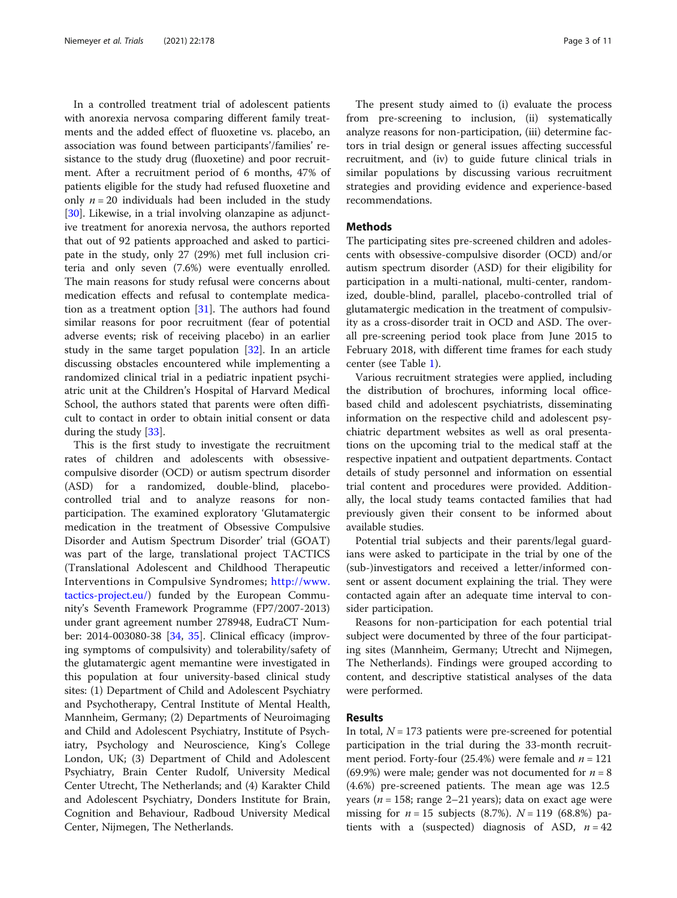In a controlled treatment trial of adolescent patients with anorexia nervosa comparing different family treatments and the added effect of fluoxetine vs. placebo, an association was found between participants'/families' resistance to the study drug (fluoxetine) and poor recruitment. After a recruitment period of 6 months, 47% of patients eligible for the study had refused fluoxetine and only  $n = 20$  individuals had been included in the study [[30\]](#page-9-0). Likewise, in a trial involving olanzapine as adjunctive treatment for anorexia nervosa, the authors reported that out of 92 patients approached and asked to participate in the study, only 27 (29%) met full inclusion criteria and only seven (7.6%) were eventually enrolled. The main reasons for study refusal were concerns about medication effects and refusal to contemplate medication as a treatment option [\[31](#page-9-0)]. The authors had found similar reasons for poor recruitment (fear of potential adverse events; risk of receiving placebo) in an earlier study in the same target population [\[32\]](#page-9-0). In an article discussing obstacles encountered while implementing a randomized clinical trial in a pediatric inpatient psychiatric unit at the Children's Hospital of Harvard Medical School, the authors stated that parents were often difficult to contact in order to obtain initial consent or data during the study [\[33](#page-9-0)].

This is the first study to investigate the recruitment rates of children and adolescents with obsessivecompulsive disorder (OCD) or autism spectrum disorder (ASD) for a randomized, double-blind, placebocontrolled trial and to analyze reasons for nonparticipation. The examined exploratory 'Glutamatergic medication in the treatment of Obsessive Compulsive Disorder and Autism Spectrum Disorder' trial (GOAT) was part of the large, translational project TACTICS (Translational Adolescent and Childhood Therapeutic Interventions in Compulsive Syndromes; [http://www.](http://www.tactics-project.eu/) [tactics-project.eu/\)](http://www.tactics-project.eu/) funded by the European Community's Seventh Framework Programme (FP7/2007-2013) under grant agreement number 278948, EudraCT Number: 2014-003080-38 [[34](#page-9-0), [35](#page-9-0)]. Clinical efficacy (improving symptoms of compulsivity) and tolerability/safety of the glutamatergic agent memantine were investigated in this population at four university-based clinical study sites: (1) Department of Child and Adolescent Psychiatry and Psychotherapy, Central Institute of Mental Health, Mannheim, Germany; (2) Departments of Neuroimaging and Child and Adolescent Psychiatry, Institute of Psychiatry, Psychology and Neuroscience, King's College London, UK; (3) Department of Child and Adolescent Psychiatry, Brain Center Rudolf, University Medical Center Utrecht, The Netherlands; and (4) Karakter Child and Adolescent Psychiatry, Donders Institute for Brain, Cognition and Behaviour, Radboud University Medical Center, Nijmegen, The Netherlands.

The present study aimed to (i) evaluate the process from pre-screening to inclusion, (ii) systematically analyze reasons for non-participation, (iii) determine factors in trial design or general issues affecting successful recruitment, and (iv) to guide future clinical trials in similar populations by discussing various recruitment strategies and providing evidence and experience-based recommendations.

### **Methods**

The participating sites pre-screened children and adolescents with obsessive-compulsive disorder (OCD) and/or autism spectrum disorder (ASD) for their eligibility for participation in a multi-national, multi-center, randomized, double-blind, parallel, placebo-controlled trial of glutamatergic medication in the treatment of compulsivity as a cross-disorder trait in OCD and ASD. The overall pre-screening period took place from June 2015 to February 2018, with different time frames for each study center (see Table [1\)](#page-3-0).

Various recruitment strategies were applied, including the distribution of brochures, informing local officebased child and adolescent psychiatrists, disseminating information on the respective child and adolescent psychiatric department websites as well as oral presentations on the upcoming trial to the medical staff at the respective inpatient and outpatient departments. Contact details of study personnel and information on essential trial content and procedures were provided. Additionally, the local study teams contacted families that had previously given their consent to be informed about available studies.

Potential trial subjects and their parents/legal guardians were asked to participate in the trial by one of the (sub-)investigators and received a letter/informed consent or assent document explaining the trial. They were contacted again after an adequate time interval to consider participation.

Reasons for non-participation for each potential trial subject were documented by three of the four participating sites (Mannheim, Germany; Utrecht and Nijmegen, The Netherlands). Findings were grouped according to content, and descriptive statistical analyses of the data were performed.

#### Results

In total,  $N = 173$  patients were pre-screened for potential participation in the trial during the 33-month recruitment period. Forty-four (25.4%) were female and  $n = 121$ (69.9%) were male; gender was not documented for  $n = 8$ (4.6%) pre-screened patients. The mean age was 12.5 years ( $n = 158$ ; range 2–21 years); data on exact age were missing for  $n = 15$  subjects (8.7%).  $N = 119$  (68.8%) patients with a (suspected) diagnosis of ASD,  $n = 42$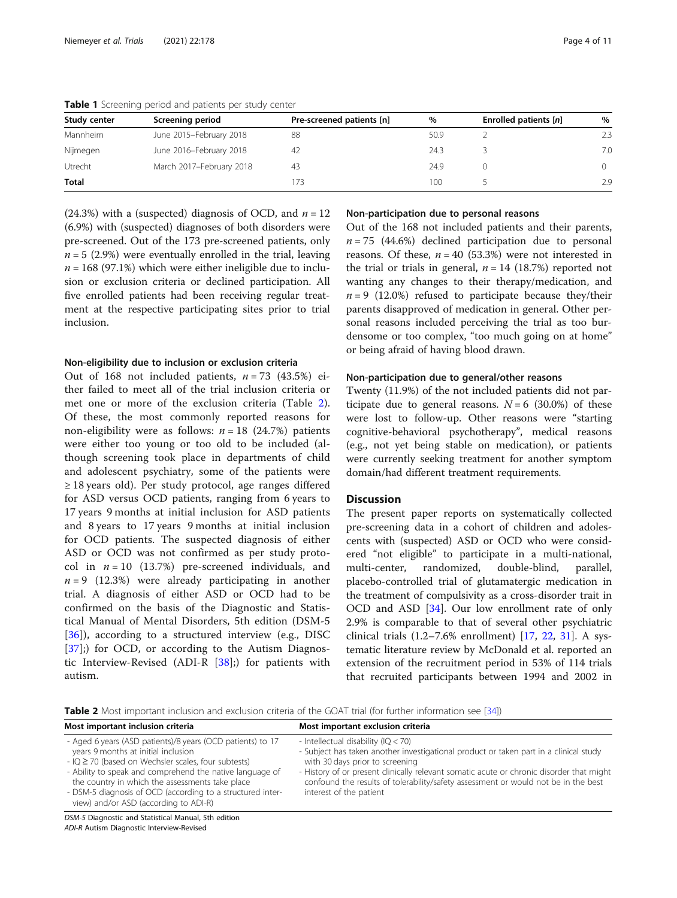| Study center | Screening period         | Pre-screened patients [n] | $\%$ | Enrolled patients [n] | %        |
|--------------|--------------------------|---------------------------|------|-----------------------|----------|
| Mannheim     | June 2015-February 2018  | 88                        | 50.9 |                       | 2.3      |
| Nijmegen     | June 2016-February 2018  | -42                       | 24.3 |                       | 7.0      |
| Utrecht      | March 2017-February 2018 | 43                        | 24.9 |                       | $\Omega$ |
| <b>Total</b> |                          | 73                        | 100  |                       | 2.9      |

<span id="page-3-0"></span>Table 1 Screening period and patients per study center

(24.3%) with a (suspected) diagnosis of OCD, and  $n = 12$ (6.9%) with (suspected) diagnoses of both disorders were pre-screened. Out of the 173 pre-screened patients, only  $n = 5$  (2.9%) were eventually enrolled in the trial, leaving  $n = 168$  (97.1%) which were either ineligible due to inclusion or exclusion criteria or declined participation. All five enrolled patients had been receiving regular treatment at the respective participating sites prior to trial inclusion.

#### Non-eligibility due to inclusion or exclusion criteria

Out of 168 not included patients,  $n = 73$  (43.5%) either failed to meet all of the trial inclusion criteria or met one or more of the exclusion criteria (Table 2). Of these, the most commonly reported reasons for non-eligibility were as follows:  $n = 18$  (24.7%) patients were either too young or too old to be included (although screening took place in departments of child and adolescent psychiatry, some of the patients were ≥ 18 years old). Per study protocol, age ranges differed for ASD versus OCD patients, ranging from 6 years to 17 years 9 months at initial inclusion for ASD patients and 8 years to 17 years 9 months at initial inclusion for OCD patients. The suspected diagnosis of either ASD or OCD was not confirmed as per study protocol in  $n = 10$  (13.7%) pre-screened individuals, and  $n = 9$  (12.3%) were already participating in another trial. A diagnosis of either ASD or OCD had to be confirmed on the basis of the Diagnostic and Statistical Manual of Mental Disorders, 5th edition (DSM-5  $[36]$  $[36]$ ), according to a structured interview (e.g., DISC [[37\]](#page-9-0);) for OCD, or according to the Autism Diagnostic Interview-Revised (ADI-R [\[38](#page-9-0)];) for patients with autism.

#### Non-participation due to personal reasons

Out of the 168 not included patients and their parents,  $n = 75$  (44.6%) declined participation due to personal reasons. Of these,  $n = 40$  (53.3%) were not interested in the trial or trials in general,  $n = 14$  (18.7%) reported not wanting any changes to their therapy/medication, and  $n = 9$  (12.0%) refused to participate because they/their parents disapproved of medication in general. Other personal reasons included perceiving the trial as too burdensome or too complex, "too much going on at home" or being afraid of having blood drawn.

# Non-participation due to general/other reasons

Twenty (11.9%) of the not included patients did not participate due to general reasons.  $N = 6$  (30.0%) of these were lost to follow-up. Other reasons were "starting cognitive-behavioral psychotherapy", medical reasons (e.g., not yet being stable on medication), or patients were currently seeking treatment for another symptom domain/had different treatment requirements.

## **Discussion**

The present paper reports on systematically collected pre-screening data in a cohort of children and adolescents with (suspected) ASD or OCD who were considered "not eligible" to participate in a multi-national, multi-center, randomized, double-blind, parallel, placebo-controlled trial of glutamatergic medication in the treatment of compulsivity as a cross-disorder trait in OCD and ASD [[34\]](#page-9-0). Our low enrollment rate of only 2.9% is comparable to that of several other psychiatric clinical trials (1.2–7.6% enrollment) [[17,](#page-9-0) [22,](#page-9-0) [31\]](#page-9-0). A systematic literature review by McDonald et al. reported an extension of the recruitment period in 53% of 114 trials that recruited participants between 1994 and 2002 in

Table 2 Most important inclusion and exclusion criteria of the GOAT trial (for further information see [\[34\]](#page-9-0))

| Most important inclusion criteria                                                                                                                                                                                                                                                                                                                                                     | Most important exclusion criteria                                                                                                                                                                                                                                                                                                                                              |
|---------------------------------------------------------------------------------------------------------------------------------------------------------------------------------------------------------------------------------------------------------------------------------------------------------------------------------------------------------------------------------------|--------------------------------------------------------------------------------------------------------------------------------------------------------------------------------------------------------------------------------------------------------------------------------------------------------------------------------------------------------------------------------|
| - Aged 6 years (ASD patients)/8 years (OCD patients) to 17<br>years 9 months at initial inclusion<br>$-$ IQ $\geq$ 70 (based on Wechsler scales, four subtests)<br>- Ability to speak and comprehend the native language of<br>the country in which the assessments take place<br>- DSM-5 diagnosis of OCD (according to a structured inter-<br>view) and/or ASD (according to ADI-R) | - Intellectual disability (IQ $<$ 70)<br>- Subject has taken another investigational product or taken part in a clinical study<br>with 30 days prior to screening<br>- History of or present clinically relevant somatic acute or chronic disorder that might<br>confound the results of tolerability/safety assessment or would not be in the best<br>interest of the patient |
|                                                                                                                                                                                                                                                                                                                                                                                       |                                                                                                                                                                                                                                                                                                                                                                                |

DSM-5 Diagnostic and Statistical Manual, 5th edition ADI-R Autism Diagnostic Interview-Revised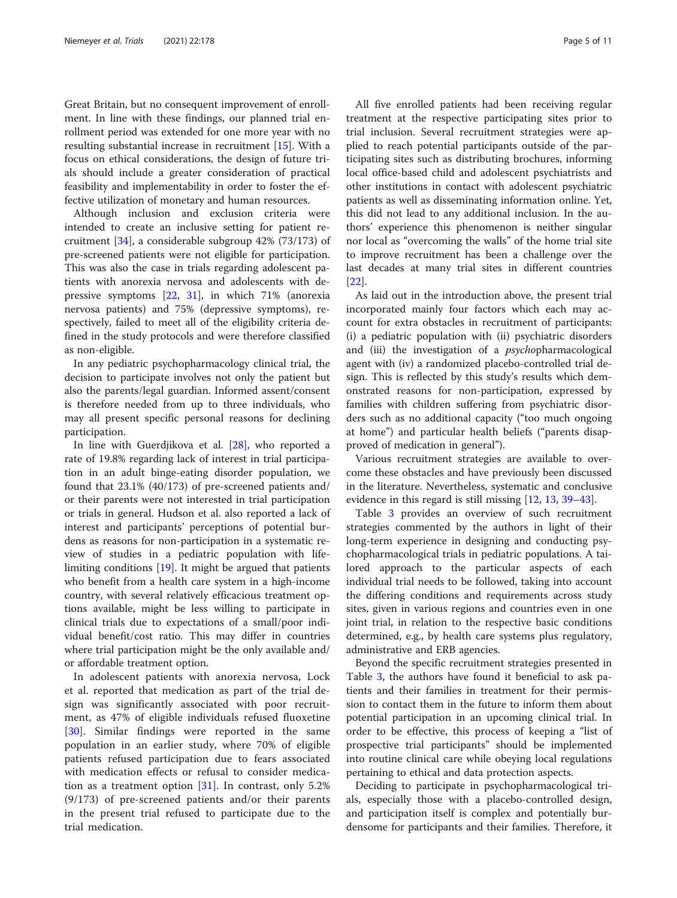Great Britain, but no consequent improvement of enrollment. In line with these findings, our planned trial enrollment period was extended for one more year with no resulting substantial increase in recruitment [[15\]](#page-9-0). With a focus on ethical considerations, the design of future trials should include a greater consideration of practical feasibility and implementability in order to foster the effective utilization of monetary and human resources.

Although inclusion and exclusion criteria were intended to create an inclusive setting for patient recruitment [\[34](#page-9-0)], a considerable subgroup 42% (73/173) of pre-screened patients were not eligible for participation. This was also the case in trials regarding adolescent patients with anorexia nervosa and adolescents with depressive symptoms [\[22,](#page-9-0) [31\]](#page-9-0), in which 71% (anorexia nervosa patients) and 75% (depressive symptoms), respectively, failed to meet all of the eligibility criteria defined in the study protocols and were therefore classified as non-eligible.

In any pediatric psychopharmacology clinical trial, the decision to participate involves not only the patient but also the parents/legal guardian. Informed assent/consent is therefore needed from up to three individuals, who may all present specific personal reasons for declining participation.

In line with Guerdjikova et al. [[28](#page-9-0)], who reported a rate of 19.8% regarding lack of interest in trial participation in an adult binge-eating disorder population, we found that 23.1% (40/173) of pre-screened patients and/ or their parents were not interested in trial participation or trials in general. Hudson et al. also reported a lack of interest and participants' perceptions of potential burdens as reasons for non-participation in a systematic review of studies in a pediatric population with lifelimiting conditions [[19](#page-9-0)]. It might be argued that patients who benefit from a health care system in a high-income country, with several relatively efficacious treatment options available, might be less willing to participate in clinical trials due to expectations of a small/poor individual benefit/cost ratio. This may differ in countries where trial participation might be the only available and/ or affordable treatment option.

In adolescent patients with anorexia nervosa, Lock et al. reported that medication as part of the trial design was significantly associated with poor recruitment, as 47% of eligible individuals refused fluoxetine [[30\]](#page-9-0). Similar findings were reported in the same population in an earlier study, where 70% of eligible patients refused participation due to fears associated with medication effects or refusal to consider medication as a treatment option [\[31](#page-9-0)]. In contrast, only 5.2% (9/173) of pre-screened patients and/or their parents in the present trial refused to participate due to the trial medication.

All five enrolled patients had been receiving regular treatment at the respective participating sites prior to trial inclusion. Several recruitment strategies were applied to reach potential participants outside of the participating sites such as distributing brochures, informing local office-based child and adolescent psychiatrists and other institutions in contact with adolescent psychiatric patients as well as disseminating information online. Yet, this did not lead to any additional inclusion. In the authors' experience this phenomenon is neither singular nor local as "overcoming the walls" of the home trial site to improve recruitment has been a challenge over the last decades at many trial sites in different countries [[22\]](#page-9-0).

As laid out in the introduction above, the present trial incorporated mainly four factors which each may account for extra obstacles in recruitment of participants: (i) a pediatric population with (ii) psychiatric disorders and (iii) the investigation of a *psychopharmacological* agent with (iv) a randomized placebo-controlled trial design. This is reflected by this study's results which demonstrated reasons for non-participation, expressed by families with children suffering from psychiatric disorders such as no additional capacity ("too much ongoing at home") and particular health beliefs ("parents disapproved of medication in general").

Various recruitment strategies are available to overcome these obstacles and have previously been discussed in the literature. Nevertheless, systematic and conclusive evidence in this regard is still missing [[12](#page-9-0), [13](#page-9-0), [39](#page-9-0)–[43\]](#page-10-0).

Table [3](#page-5-0) provides an overview of such recruitment strategies commented by the authors in light of their long-term experience in designing and conducting psychopharmacological trials in pediatric populations. A tailored approach to the particular aspects of each individual trial needs to be followed, taking into account the differing conditions and requirements across study sites, given in various regions and countries even in one joint trial, in relation to the respective basic conditions determined, e.g., by health care systems plus regulatory, administrative and ERB agencies.

Beyond the specific recruitment strategies presented in Table [3,](#page-5-0) the authors have found it beneficial to ask patients and their families in treatment for their permission to contact them in the future to inform them about potential participation in an upcoming clinical trial. In order to be effective, this process of keeping a "list of prospective trial participants" should be implemented into routine clinical care while obeying local regulations pertaining to ethical and data protection aspects.

Deciding to participate in psychopharmacological trials, especially those with a placebo-controlled design, and participation itself is complex and potentially burdensome for participants and their families. Therefore, it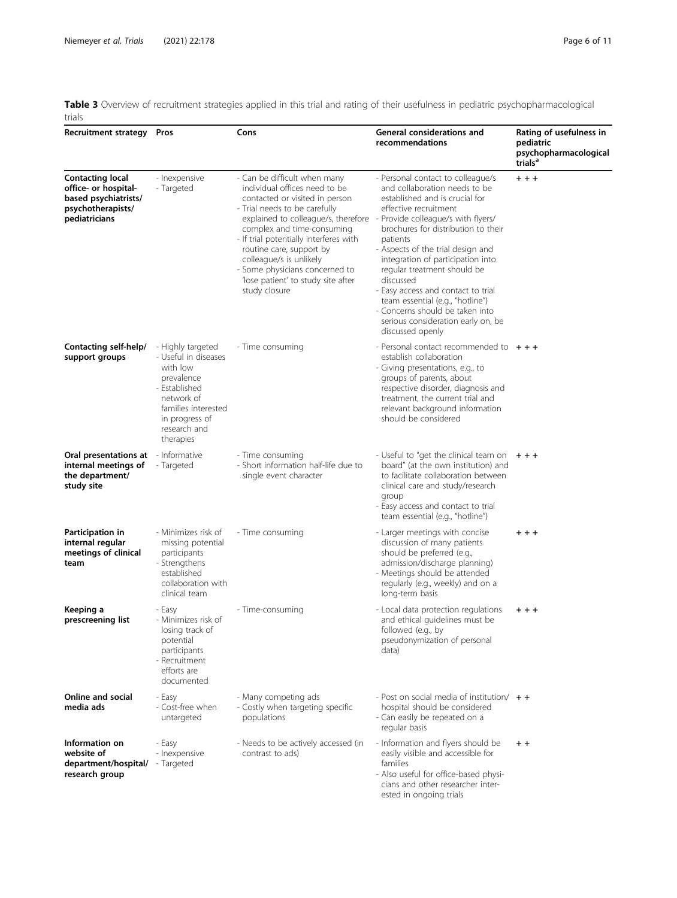<span id="page-5-0"></span>

|        | Table 3 Overview of recruitment strategies applied in this trial and rating of their usefulness in pediatric psychopharmacological |  |  |  |  |  |  |
|--------|------------------------------------------------------------------------------------------------------------------------------------|--|--|--|--|--|--|
| trials |                                                                                                                                    |  |  |  |  |  |  |

| Recruitment strategy Pros                                                                                     |                                                                                                                                                                                                                                                                                                                                                                                                                                                                   | Cons                                                                               | General considerations and<br>recommendations                                                                                                                                                                                                                                                                                                                                                                                                                                 | Rating of usefulness in<br>pediatric<br>psychopharmacological<br>trials <sup>a</sup> |  |
|---------------------------------------------------------------------------------------------------------------|-------------------------------------------------------------------------------------------------------------------------------------------------------------------------------------------------------------------------------------------------------------------------------------------------------------------------------------------------------------------------------------------------------------------------------------------------------------------|------------------------------------------------------------------------------------|-------------------------------------------------------------------------------------------------------------------------------------------------------------------------------------------------------------------------------------------------------------------------------------------------------------------------------------------------------------------------------------------------------------------------------------------------------------------------------|--------------------------------------------------------------------------------------|--|
| <b>Contacting local</b><br>office- or hospital-<br>based psychiatrists/<br>psychotherapists/<br>pediatricians | - Inexpensive<br>- Can be difficult when many<br>- Targeted<br>individual offices need to be<br>contacted or visited in person<br>- Trial needs to be carefully<br>explained to colleague/s, therefore - Provide colleague/s with flyers/<br>complex and time-consuming<br>- If trial potentially interferes with<br>routine care, support by<br>colleague/s is unlikely<br>- Some physicians concerned to<br>'lose patient' to study site after<br>study closure |                                                                                    | - Personal contact to colleague/s<br>and collaboration needs to be<br>established and is crucial for<br>effective recruitment<br>brochures for distribution to their<br>patients<br>- Aspects of the trial design and<br>integration of participation into<br>regular treatment should be<br>discussed<br>- Easy access and contact to trial<br>team essential (e.g., "hotline")<br>- Concerns should be taken into<br>serious consideration early on, be<br>discussed openly | $+ + +$                                                                              |  |
| Contacting self-help/<br>support groups                                                                       | - Highly targeted<br>- Useful in diseases<br>with low<br>prevalence<br>- Established<br>network of<br>families interested<br>in progress of<br>research and<br>therapies                                                                                                                                                                                                                                                                                          | - Time consuming                                                                   | - Personal contact recommended to $+ + +$<br>establish collaboration<br>- Giving presentations, e.g., to<br>groups of parents, about<br>respective disorder, diagnosis and<br>treatment, the current trial and<br>relevant background information<br>should be considered                                                                                                                                                                                                     |                                                                                      |  |
| <b>Oral presentations at</b> - Informative<br>internal meetings of<br>the department/<br>study site           | - Targeted                                                                                                                                                                                                                                                                                                                                                                                                                                                        | - Time consuming<br>- Short information half-life due to<br>single event character | - Useful to "get the clinical team on<br>board" (at the own institution) and<br>to facilitate collaboration between<br>clinical care and study/research<br>group<br>- Easy access and contact to trial<br>team essential (e.g., "hotline")                                                                                                                                                                                                                                    | $+ + +$                                                                              |  |
| Participation in<br>internal regular<br>meetings of clinical<br>team                                          | - Minimizes risk of<br>missing potential<br>participants<br>- Strengthens<br>established<br>collaboration with<br>clinical team                                                                                                                                                                                                                                                                                                                                   | - Time consuming                                                                   | - Larger meetings with concise<br>discussion of many patients<br>should be preferred (e.g.,<br>admission/discharge planning)<br>- Meetings should be attended<br>regularly (e.g., weekly) and on a<br>long-term basis                                                                                                                                                                                                                                                         | $+ + +$                                                                              |  |
| Keeping a<br>prescreening list                                                                                | - Easy<br>- Minimizes risk of<br>losing track of<br>potential<br>participants<br>- Recruitment<br>efforts are<br>documented                                                                                                                                                                                                                                                                                                                                       | - Time-consuming                                                                   | - Local data protection regulations<br>and ethical guidelines must be<br>followed (e.g., by<br>pseudonymization of personal<br>data)                                                                                                                                                                                                                                                                                                                                          | $+ + +$                                                                              |  |
| Online and social<br>media ads                                                                                | - Easy<br>- Cost-free when<br>untargeted                                                                                                                                                                                                                                                                                                                                                                                                                          | - Many competing ads<br>- Costly when targeting specific<br>populations            | - Post on social media of institution/ $+$ +<br>hospital should be considered<br>- Can easily be repeated on a<br>regular basis                                                                                                                                                                                                                                                                                                                                               |                                                                                      |  |
| Information on<br>website of<br>department/hospital/ - Targeted<br>research group                             | - Easy<br>- Inexpensive                                                                                                                                                                                                                                                                                                                                                                                                                                           | - Needs to be actively accessed (in<br>contrast to ads)                            | - Information and flyers should be<br>easily visible and accessible for<br>families<br>- Also useful for office-based physi-<br>cians and other researcher inter-<br>ested in ongoing trials                                                                                                                                                                                                                                                                                  | $+ +$                                                                                |  |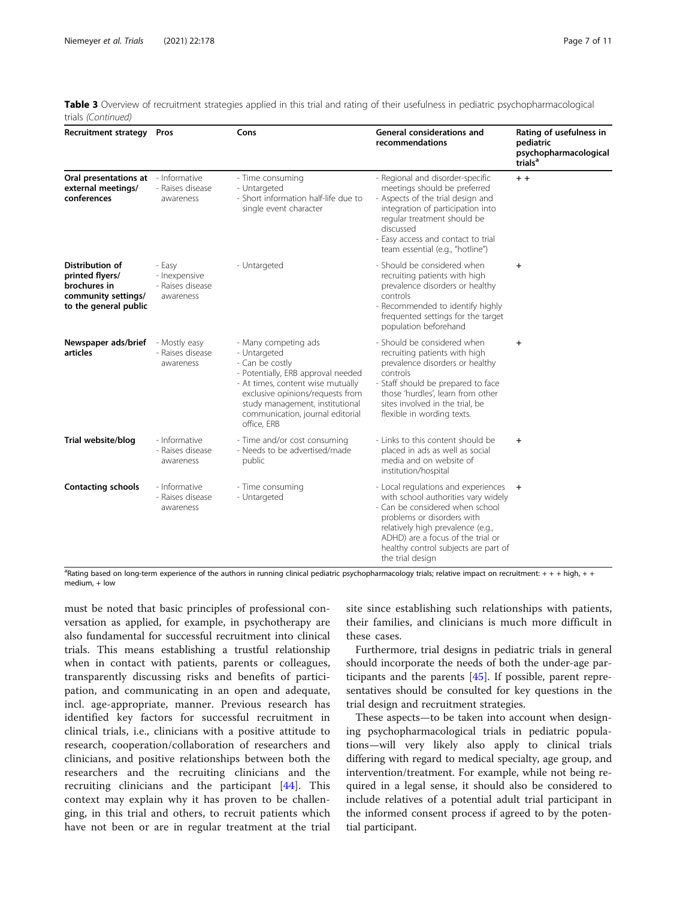|                    | Table 3 Overview of recruitment strategies applied in this trial and rating of their usefulness in pediatric psychopharmacological |  |  |  |
|--------------------|------------------------------------------------------------------------------------------------------------------------------------|--|--|--|
| trials (Continued) |                                                                                                                                    |  |  |  |

| <b>Recruitment strategy</b>                                                                        | Pros                                                     | Cons                                                                                                                                                                                                                                                         | General considerations and<br>recommendations                                                                                                                                                                                                                                       | Rating of usefulness in<br>pediatric<br>psychopharmacological<br>trials <sup>a</sup> |  |
|----------------------------------------------------------------------------------------------------|----------------------------------------------------------|--------------------------------------------------------------------------------------------------------------------------------------------------------------------------------------------------------------------------------------------------------------|-------------------------------------------------------------------------------------------------------------------------------------------------------------------------------------------------------------------------------------------------------------------------------------|--------------------------------------------------------------------------------------|--|
| Oral presentations at - Informative<br>external meetings/<br>conferences                           | - Raises disease<br>awareness                            | - Time consuming<br>- Untargeted<br>- Short information half-life due to<br>single event character                                                                                                                                                           | - Regional and disorder-specific<br>meetings should be preferred<br>- Aspects of the trial design and<br>integration of participation into<br>regular treatment should be<br>discussed<br>- Easy access and contact to trial<br>team essential (e.g., "hotline")                    | $+ +$                                                                                |  |
| Distribution of<br>printed flyers/<br>brochures in<br>community settings/<br>to the general public | - Easy<br>- Inexpensive<br>- Raises disease<br>awareness | - Untargeted                                                                                                                                                                                                                                                 | - Should be considered when<br>$\ddot{}$<br>recruiting patients with high<br>prevalence disorders or healthy<br>controls<br>- Recommended to identify highly<br>frequented settings for the target<br>population beforehand                                                         |                                                                                      |  |
| Newspaper ads/brief<br>articles                                                                    | - Mostly easy<br>- Raises disease<br>awareness           | - Many competing ads<br>- Untargeted<br>- Can be costly<br>- Potentially, ERB approval needed<br>- At times, content wise mutually<br>exclusive opinions/requests from<br>study management, institutional<br>communication, journal editorial<br>office, ERB | - Should be considered when<br>recruiting patients with high<br>prevalence disorders or healthy<br>controls<br>- Staff should be prepared to face<br>those 'hurdles', learn from other<br>sites involved in the trial, be<br>flexible in wording texts.                             | $\ddot{}$                                                                            |  |
| Trial website/blog                                                                                 | - Informative<br>- Raises disease<br>awareness           | - Time and/or cost consuming<br>- Needs to be advertised/made<br>public                                                                                                                                                                                      | - Links to this content should be<br>placed in ads as well as social<br>media and on website of<br>institution/hospital                                                                                                                                                             | $\ddot{}$                                                                            |  |
| <b>Contacting schools</b>                                                                          | - Informative<br>- Raises disease<br>awareness           | - Time consuming<br>- Untargeted                                                                                                                                                                                                                             | - Local regulations and experiences +<br>with school authorities vary widely<br>- Can be considered when school<br>problems or disorders with<br>relatively high prevalence (e.g.,<br>ADHD) are a focus of the trial or<br>healthy control subjects are part of<br>the trial design |                                                                                      |  |

<sup>a</sup>Rating based on long-term experience of the authors in running clinical pediatric psychopharmacology trials; relative impact on recruitment: + + + high, + + medium, + low

must be noted that basic principles of professional conversation as applied, for example, in psychotherapy are also fundamental for successful recruitment into clinical trials. This means establishing a trustful relationship when in contact with patients, parents or colleagues, transparently discussing risks and benefits of participation, and communicating in an open and adequate, incl. age-appropriate, manner. Previous research has identified key factors for successful recruitment in clinical trials, i.e., clinicians with a positive attitude to research, cooperation/collaboration of researchers and clinicians, and positive relationships between both the researchers and the recruiting clinicians and the recruiting clinicians and the participant [\[44](#page-10-0)]. This context may explain why it has proven to be challenging, in this trial and others, to recruit patients which have not been or are in regular treatment at the trial site since establishing such relationships with patients, their families, and clinicians is much more difficult in these cases.

Furthermore, trial designs in pediatric trials in general should incorporate the needs of both the under-age participants and the parents [[45\]](#page-10-0). If possible, parent representatives should be consulted for key questions in the trial design and recruitment strategies.

These aspects—to be taken into account when designing psychopharmacological trials in pediatric populations—will very likely also apply to clinical trials differing with regard to medical specialty, age group, and intervention/treatment. For example, while not being required in a legal sense, it should also be considered to include relatives of a potential adult trial participant in the informed consent process if agreed to by the potential participant.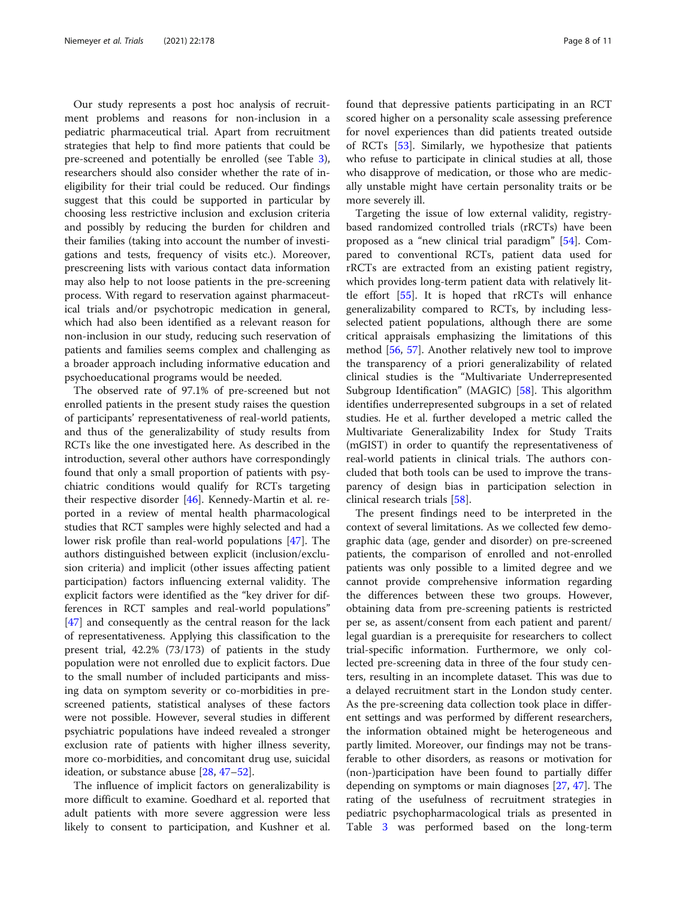Our study represents a post hoc analysis of recruitment problems and reasons for non-inclusion in a pediatric pharmaceutical trial. Apart from recruitment strategies that help to find more patients that could be pre-screened and potentially be enrolled (see Table [3](#page-5-0)), researchers should also consider whether the rate of ineligibility for their trial could be reduced. Our findings suggest that this could be supported in particular by choosing less restrictive inclusion and exclusion criteria and possibly by reducing the burden for children and their families (taking into account the number of investigations and tests, frequency of visits etc.). Moreover, prescreening lists with various contact data information may also help to not loose patients in the pre-screening process. With regard to reservation against pharmaceutical trials and/or psychotropic medication in general, which had also been identified as a relevant reason for non-inclusion in our study, reducing such reservation of patients and families seems complex and challenging as a broader approach including informative education and psychoeducational programs would be needed.

The observed rate of 97.1% of pre-screened but not enrolled patients in the present study raises the question of participants' representativeness of real-world patients, and thus of the generalizability of study results from RCTs like the one investigated here. As described in the introduction, several other authors have correspondingly found that only a small proportion of patients with psychiatric conditions would qualify for RCTs targeting their respective disorder [\[46](#page-10-0)]. Kennedy-Martin et al. reported in a review of mental health pharmacological studies that RCT samples were highly selected and had a lower risk profile than real-world populations [\[47](#page-10-0)]. The authors distinguished between explicit (inclusion/exclusion criteria) and implicit (other issues affecting patient participation) factors influencing external validity. The explicit factors were identified as the "key driver for differences in RCT samples and real-world populations" [[47\]](#page-10-0) and consequently as the central reason for the lack of representativeness. Applying this classification to the present trial, 42.2% (73/173) of patients in the study population were not enrolled due to explicit factors. Due to the small number of included participants and missing data on symptom severity or co-morbidities in prescreened patients, statistical analyses of these factors were not possible. However, several studies in different psychiatric populations have indeed revealed a stronger exclusion rate of patients with higher illness severity, more co-morbidities, and concomitant drug use, suicidal ideation, or substance abuse [\[28,](#page-9-0) [47](#page-10-0)–[52\]](#page-10-0).

The influence of implicit factors on generalizability is more difficult to examine. Goedhard et al. reported that adult patients with more severe aggression were less likely to consent to participation, and Kushner et al.

found that depressive patients participating in an RCT scored higher on a personality scale assessing preference for novel experiences than did patients treated outside of RCTs [\[53\]](#page-10-0). Similarly, we hypothesize that patients who refuse to participate in clinical studies at all, those who disapprove of medication, or those who are medically unstable might have certain personality traits or be more severely ill.

Targeting the issue of low external validity, registrybased randomized controlled trials (rRCTs) have been proposed as a "new clinical trial paradigm" [[54](#page-10-0)]. Compared to conventional RCTs, patient data used for rRCTs are extracted from an existing patient registry, which provides long-term patient data with relatively little effort [\[55\]](#page-10-0). It is hoped that rRCTs will enhance generalizability compared to RCTs, by including lessselected patient populations, although there are some critical appraisals emphasizing the limitations of this method [[56](#page-10-0), [57\]](#page-10-0). Another relatively new tool to improve the transparency of a priori generalizability of related clinical studies is the "Multivariate Underrepresented Subgroup Identification" (MAGIC) [\[58](#page-10-0)]. This algorithm identifies underrepresented subgroups in a set of related studies. He et al. further developed a metric called the Multivariate Generalizability Index for Study Traits (mGIST) in order to quantify the representativeness of real-world patients in clinical trials. The authors concluded that both tools can be used to improve the transparency of design bias in participation selection in clinical research trials [[58\]](#page-10-0).

The present findings need to be interpreted in the context of several limitations. As we collected few demographic data (age, gender and disorder) on pre-screened patients, the comparison of enrolled and not-enrolled patients was only possible to a limited degree and we cannot provide comprehensive information regarding the differences between these two groups. However, obtaining data from pre-screening patients is restricted per se, as assent/consent from each patient and parent/ legal guardian is a prerequisite for researchers to collect trial-specific information. Furthermore, we only collected pre-screening data in three of the four study centers, resulting in an incomplete dataset. This was due to a delayed recruitment start in the London study center. As the pre-screening data collection took place in different settings and was performed by different researchers, the information obtained might be heterogeneous and partly limited. Moreover, our findings may not be transferable to other disorders, as reasons or motivation for (non-)participation have been found to partially differ depending on symptoms or main diagnoses [\[27](#page-9-0), [47](#page-10-0)]. The rating of the usefulness of recruitment strategies in pediatric psychopharmacological trials as presented in Table [3](#page-5-0) was performed based on the long-term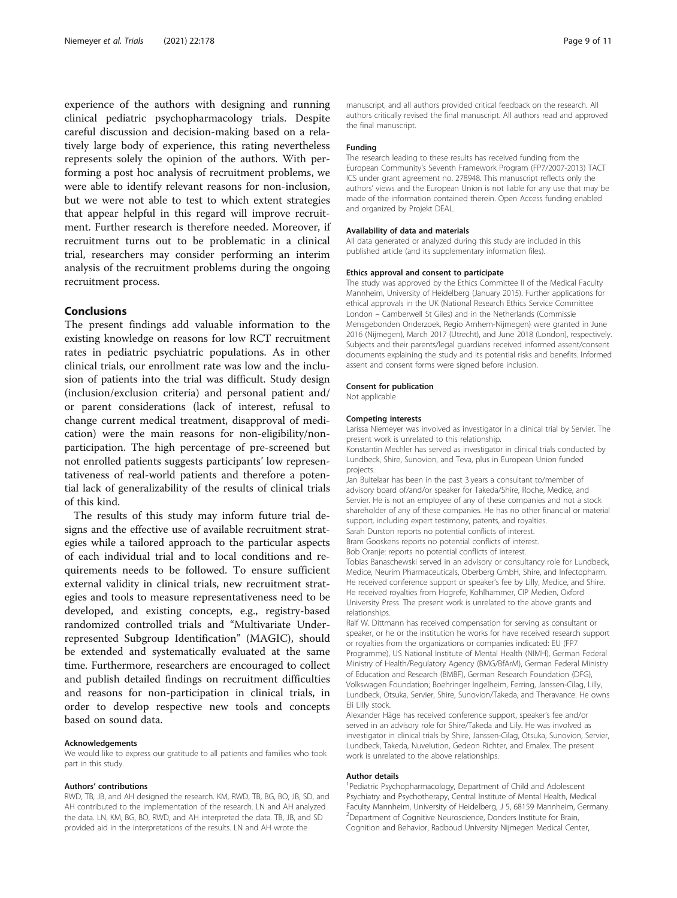experience of the authors with designing and running clinical pediatric psychopharmacology trials. Despite careful discussion and decision-making based on a relatively large body of experience, this rating nevertheless represents solely the opinion of the authors. With performing a post hoc analysis of recruitment problems, we were able to identify relevant reasons for non-inclusion, but we were not able to test to which extent strategies that appear helpful in this regard will improve recruitment. Further research is therefore needed. Moreover, if recruitment turns out to be problematic in a clinical trial, researchers may consider performing an interim analysis of the recruitment problems during the ongoing recruitment process.

# Conclusions

The present findings add valuable information to the existing knowledge on reasons for low RCT recruitment rates in pediatric psychiatric populations. As in other clinical trials, our enrollment rate was low and the inclusion of patients into the trial was difficult. Study design (inclusion/exclusion criteria) and personal patient and/ or parent considerations (lack of interest, refusal to change current medical treatment, disapproval of medication) were the main reasons for non-eligibility/nonparticipation. The high percentage of pre-screened but not enrolled patients suggests participants' low representativeness of real-world patients and therefore a potential lack of generalizability of the results of clinical trials of this kind.

The results of this study may inform future trial designs and the effective use of available recruitment strategies while a tailored approach to the particular aspects of each individual trial and to local conditions and requirements needs to be followed. To ensure sufficient external validity in clinical trials, new recruitment strategies and tools to measure representativeness need to be developed, and existing concepts, e.g., registry-based randomized controlled trials and "Multivariate Underrepresented Subgroup Identification" (MAGIC), should be extended and systematically evaluated at the same time. Furthermore, researchers are encouraged to collect and publish detailed findings on recruitment difficulties and reasons for non-participation in clinical trials, in order to develop respective new tools and concepts based on sound data.

#### Acknowledgements

We would like to express our gratitude to all patients and families who took part in this study.

#### Authors' contributions

RWD, TB, JB, and AH designed the research. KM, RWD, TB, BG, BO, JB, SD, and AH contributed to the implementation of the research. LN and AH analyzed the data. LN, KM, BG, BO, RWD, and AH interpreted the data. TB, JB, and SD provided aid in the interpretations of the results. LN and AH wrote the

manuscript, and all authors provided critical feedback on the research. All authors critically revised the final manuscript. All authors read and approved the final manuscript.

#### Funding

The research leading to these results has received funding from the European Community's Seventh Framework Program (FP7/2007-2013) TACT ICS under grant agreement no. 278948. This manuscript reflects only the authors' views and the European Union is not liable for any use that may be made of the information contained therein. Open Access funding enabled and organized by Projekt DEAL.

#### Availability of data and materials

All data generated or analyzed during this study are included in this published article (and its supplementary information files).

#### Ethics approval and consent to participate

The study was approved by the Ethics Committee II of the Medical Faculty Mannheim, University of Heidelberg (January 2015). Further applications for ethical approvals in the UK (National Research Ethics Service Committee London – Camberwell St Giles) and in the Netherlands (Commissie Mensgebonden Onderzoek, Regio Arnhem-Nijmegen) were granted in June 2016 (Nijmegen), March 2017 (Utrecht), and June 2018 (London), respectively. Subjects and their parents/legal guardians received informed assent/consent documents explaining the study and its potential risks and benefits. Informed assent and consent forms were signed before inclusion.

#### Consent for publication

Not applicable

#### Competing interests

Larissa Niemeyer was involved as investigator in a clinical trial by Servier. The present work is unrelated to this relationship.

Konstantin Mechler has served as investigator in clinical trials conducted by Lundbeck, Shire, Sunovion, and Teva, plus in European Union funded projects.

Jan Buitelaar has been in the past 3 years a consultant to/member of advisory board of/and/or speaker for Takeda/Shire, Roche, Medice, and Servier. He is not an employee of any of these companies and not a stock shareholder of any of these companies. He has no other financial or material support, including expert testimony, patents, and royalties.

Sarah Durston reports no potential conflicts of interest.

Bram Gooskens reports no potential conflicts of interest. Bob Oranje: reports no potential conflicts of interest.

Tobias Banaschewski served in an advisory or consultancy role for Lundbeck, Medice, Neurim Pharmaceuticals, Oberberg GmbH, Shire, and Infectopharm. He received conference support or speaker's fee by Lilly, Medice, and Shire. He received royalties from Hogrefe, Kohlhammer, CIP Medien, Oxford University Press. The present work is unrelated to the above grants and relationships.

Ralf W. Dittmann has received compensation for serving as consultant or speaker, or he or the institution he works for have received research support or royalties from the organizations or companies indicated: EU (FP7 Programme), US National Institute of Mental Health (NIMH), German Federal Ministry of Health/Regulatory Agency (BMG/BfArM), German Federal Ministry of Education and Research (BMBF), German Research Foundation (DFG), Volkswagen Foundation; Boehringer Ingelheim, Ferring, Janssen-Cilag, Lilly, Lundbeck, Otsuka, Servier, Shire, Sunovion/Takeda, and Theravance. He owns Eli Lilly stock.

Alexander Häge has received conference support, speaker's fee and/or served in an advisory role for Shire/Takeda and Lily. He was involved as investigator in clinical trials by Shire, Janssen-Cilag, Otsuka, Sunovion, Servier, Lundbeck, Takeda, Nuvelution, Gedeon Richter, and Emalex. The present work is unrelated to the above relationships.

#### Author details

<sup>1</sup> Pediatric Psychopharmacology, Department of Child and Adolescent Psychiatry and Psychotherapy, Central Institute of Mental Health, Medical Faculty Mannheim, University of Heidelberg, J 5, 68159 Mannheim, Germany. <sup>2</sup>Department of Cognitive Neuroscience, Donders Institute for Brain Cognition and Behavior, Radboud University Nijmegen Medical Center,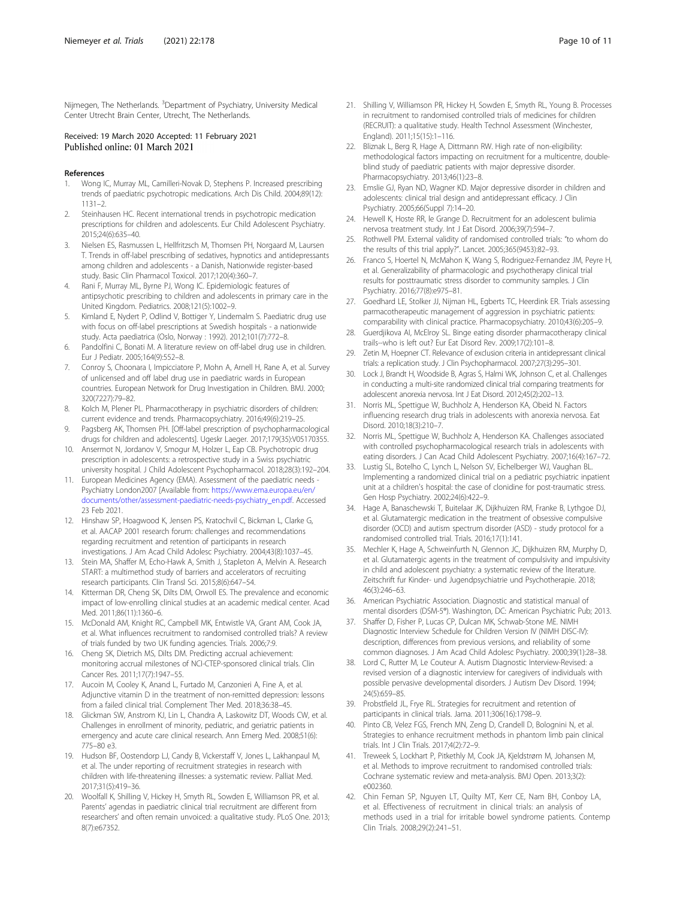<span id="page-9-0"></span>Nijmegen, The Netherlands. <sup>3</sup>Department of Psychiatry, University Medical Center Utrecht Brain Center, Utrecht, The Netherlands.

# Received: 19 March 2020 Accepted: 11 February 2021 Published online: 01 March 2021

#### References

- 1. Wong IC, Murray ML, Camilleri-Novak D, Stephens P. Increased prescribing trends of paediatric psychotropic medications. Arch Dis Child. 2004;89(12): 1131–2.
- 2. Steinhausen HC. Recent international trends in psychotropic medication prescriptions for children and adolescents. Eur Child Adolescent Psychiatry. 2015;24(6):635–40.
- 3. Nielsen ES, Rasmussen L, Hellfritzsch M, Thomsen PH, Norgaard M, Laursen T. Trends in off-label prescribing of sedatives, hypnotics and antidepressants among children and adolescents - a Danish, Nationwide register-based study. Basic Clin Pharmacol Toxicol. 2017;120(4):360–7.
- 4. Rani F, Murray ML, Byrne PJ, Wong IC. Epidemiologic features of antipsychotic prescribing to children and adolescents in primary care in the United Kingdom. Pediatrics. 2008;121(5):1002–9.
- 5. Kimland E, Nydert P, Odlind V, Bottiger Y, Lindemalm S. Paediatric drug use with focus on off-label prescriptions at Swedish hospitals - a nationwide study. Acta paediatrica (Oslo, Norway : 1992). 2012;101(7):772–8.
- 6. Pandolfini C, Bonati M. A literature review on off-label drug use in children. Eur J Pediatr. 2005;164(9):552–8.
- 7. Conroy S, Choonara I, Impicciatore P, Mohn A, Arnell H, Rane A, et al. Survey of unlicensed and off label drug use in paediatric wards in European countries. European Network for Drug Investigation in Children. BMJ. 2000; 320(7227):79–82.
- 8. Kolch M, Plener PL. Pharmacotherapy in psychiatric disorders of children: current evidence and trends. Pharmacopsychiatry. 2016;49(6):219–25.
- 9. Pagsberg AK, Thomsen PH. [Off-label prescription of psychopharmacological drugs for children and adolescents]. Ugeskr Laeger. 2017;179(35):V05170355.
- 10. Ansermot N, Jordanov V, Smogur M, Holzer L, Eap CB. Psychotropic drug prescription in adolescents: a retrospective study in a Swiss psychiatric university hospital. J Child Adolescent Psychopharmacol. 2018;28(3):192–204.
- 11. European Medicines Agency (EMA). Assessment of the paediatric needs Psychiatry London2007 [Available from: [https://www.ema.europa.eu/en/](https://www.ema.europa.eu/en/documents/other/assessment-paediatric-needs-psychiatry_en.pdf) [documents/other/assessment-paediatric-needs-psychiatry\\_en.pdf](https://www.ema.europa.eu/en/documents/other/assessment-paediatric-needs-psychiatry_en.pdf). Accessed 23 Feb 2021.
- 12. Hinshaw SP, Hoagwood K, Jensen PS, Kratochvil C, Bickman L, Clarke G, et al. AACAP 2001 research forum: challenges and recommendations regarding recruitment and retention of participants in research investigations. J Am Acad Child Adolesc Psychiatry. 2004;43(8):1037–45.
- 13. Stein MA, Shaffer M, Echo-Hawk A, Smith J, Stapleton A, Melvin A. Research START: a multimethod study of barriers and accelerators of recruiting research participants. Clin Transl Sci. 2015;8(6):647–54.
- 14. Kitterman DR, Cheng SK, Dilts DM, Orwoll ES. The prevalence and economic impact of low-enrolling clinical studies at an academic medical center. Acad Med. 2011;86(11):1360–6.
- 15. McDonald AM, Knight RC, Campbell MK, Entwistle VA, Grant AM, Cook JA, et al. What influences recruitment to randomised controlled trials? A review of trials funded by two UK funding agencies. Trials. 2006;7:9.
- 16. Cheng SK, Dietrich MS, Dilts DM. Predicting accrual achievement: monitoring accrual milestones of NCI-CTEP-sponsored clinical trials. Clin Cancer Res. 2011;17(7):1947–55.
- 17. Aucoin M, Cooley K, Anand L, Furtado M, Canzonieri A, Fine A, et al. Adjunctive vitamin D in the treatment of non-remitted depression: lessons from a failed clinical trial. Complement Ther Med. 2018;36:38–45.
- 18. Glickman SW, Anstrom KJ, Lin L, Chandra A, Laskowitz DT, Woods CW, et al. Challenges in enrollment of minority, pediatric, and geriatric patients in emergency and acute care clinical research. Ann Emerg Med. 2008;51(6): 775–80 e3.
- 19. Hudson BF, Oostendorp LJ, Candy B, Vickerstaff V, Jones L, Lakhanpaul M, et al. The under reporting of recruitment strategies in research with children with life-threatening illnesses: a systematic review. Palliat Med. 2017;31(5):419–36.
- 20. Woolfall K, Shilling V, Hickey H, Smyth RL, Sowden E, Williamson PR, et al. Parents' agendas in paediatric clinical trial recruitment are different from researchers' and often remain unvoiced: a qualitative study. PLoS One. 2013; 8(7):e67352.
- 21. Shilling V, Williamson PR, Hickey H, Sowden E, Smyth RL, Young B. Processes in recruitment to randomised controlled trials of medicines for children (RECRUIT): a qualitative study. Health Technol Assessment (Winchester, England). 2011;15(15):1–116.
- 22. Bliznak L, Berg R, Hage A, Dittmann RW. High rate of non-eligibility: methodological factors impacting on recruitment for a multicentre, doubleblind study of paediatric patients with major depressive disorder. Pharmacopsychiatry. 2013;46(1):23–8.
- 23. Emslie GJ, Ryan ND, Wagner KD. Major depressive disorder in children and adolescents: clinical trial design and antidepressant efficacy. J Clin Psychiatry. 2005;66(Suppl 7):14–20.
- 24. Hewell K, Hoste RR, le Grange D. Recruitment for an adolescent bulimia nervosa treatment study. Int J Eat Disord. 2006;39(7):594–7.
- 25. Rothwell PM. External validity of randomised controlled trials: "to whom do the results of this trial apply?". Lancet. 2005;365(9453):82–93.
- 26. Franco S, Hoertel N, McMahon K, Wang S, Rodriguez-Fernandez JM, Peyre H, et al. Generalizability of pharmacologic and psychotherapy clinical trial results for posttraumatic stress disorder to community samples. J Clin Psychiatry. 2016;77(8):e975–81.
- 27. Goedhard LE, Stolker JJ, Nijman HL, Egberts TC, Heerdink ER. Trials assessing parmacotherapeutic management of aggression in psychiatric patients: comparability with clinical practice. Pharmacopsychiatry. 2010;43(6):205–9.
- 28. Guerdjikova AI, McElroy SL. Binge eating disorder pharmacotherapy clinical trails--who is left out? Eur Eat Disord Rev. 2009;17(2):101–8.
- Zetin M, Hoepner CT. Relevance of exclusion criteria in antidepressant clinical trials: a replication study. J Clin Psychopharmacol. 2007;27(3):295–301.
- 30. Lock J, Brandt H, Woodside B, Agras S, Halmi WK, Johnson C, et al. Challenges in conducting a multi-site randomized clinical trial comparing treatments for adolescent anorexia nervosa. Int J Eat Disord. 2012;45(2):202–13.
- 31. Norris ML, Spettigue W, Buchholz A, Henderson KA, Obeid N. Factors influencing research drug trials in adolescents with anorexia nervosa. Eat Disord. 2010;18(3):210–7.
- 32. Norris ML, Spettigue W, Buchholz A, Henderson KA. Challenges associated with controlled psychopharmacological research trials in adolescents with eating disorders. J Can Acad Child Adolescent Psychiatry. 2007;16(4):167–72.
- 33. Lustig SL, Botelho C, Lynch L, Nelson SV, Eichelberger WJ, Vaughan BL. Implementing a randomized clinical trial on a pediatric psychiatric inpatient unit at a children's hospital: the case of clonidine for post-traumatic stress. Gen Hosp Psychiatry. 2002;24(6):422–9.
- 34. Hage A, Banaschewski T, Buitelaar JK, Dijkhuizen RM, Franke B, Lythgoe DJ, et al. Glutamatergic medication in the treatment of obsessive compulsive disorder (OCD) and autism spectrum disorder (ASD) - study protocol for a randomised controlled trial. Trials. 2016;17(1):141.
- 35. Mechler K, Hage A, Schweinfurth N, Glennon JC, Dijkhuizen RM, Murphy D, et al. Glutamatergic agents in the treatment of compulsivity and impulsivity in child and adolescent psychiatry: a systematic review of the literature. Zeitschrift fur Kinder- und Jugendpsychiatrie und Psychotherapie. 2018; 46(3):246–63.
- 36. American Psychiatric Association. Diagnostic and statistical manual of mental disorders (DSM-5®). Washington, DC: American Psychiatric Pub; 2013.
- 37. Shaffer D, Fisher P, Lucas CP, Dulcan MK, Schwab-Stone ME. NIMH Diagnostic Interview Schedule for Children Version IV (NIMH DISC-IV): description, differences from previous versions, and reliability of some common diagnoses. J Am Acad Child Adolesc Psychiatry. 2000;39(1):28–38.
- 38. Lord C, Rutter M, Le Couteur A. Autism Diagnostic Interview-Revised: a revised version of a diagnostic interview for caregivers of individuals with possible pervasive developmental disorders. J Autism Dev Disord. 1994; 24(5):659–85.
- 39. Probstfield JL, Frye RL. Strategies for recruitment and retention of participants in clinical trials. Jama. 2011;306(16):1798–9.
- 40. Pinto CB, Velez FGS, French MN, Zeng D, Crandell D, Bolognini N, et al. Strategies to enhance recruitment methods in phantom limb pain clinical trials. Int J Clin Trials. 2017;4(2):72–9.
- 41. Treweek S, Lockhart P, Pitkethly M, Cook JA, Kjeldstrøm M, Johansen M, et al. Methods to improve recruitment to randomised controlled trials: Cochrane systematic review and meta-analysis. BMJ Open. 2013;3(2): e002360.
- 42. Chin Feman SP, Nguyen LT, Quilty MT, Kerr CE, Nam BH, Conboy LA, et al. Effectiveness of recruitment in clinical trials: an analysis of methods used in a trial for irritable bowel syndrome patients. Contemp Clin Trials. 2008;29(2):241–51.